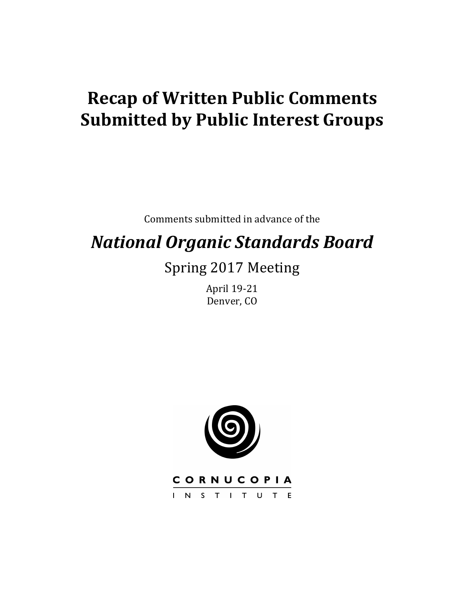# **Recap of Written Public Comments Submitted by Public Interest Groups**

Comments submitted in advance of the

# *National Organic Standards Board*

# Spring 2017 Meeting

April 19-21 Denver, CO



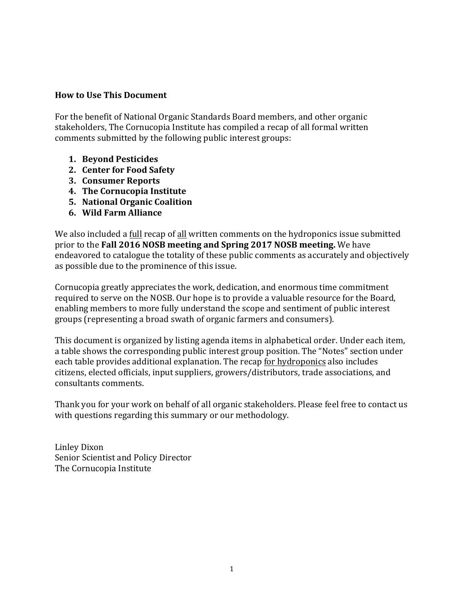#### **How to Use This Document**

For the benefit of National Organic Standards Board members, and other organic stakeholders, The Cornucopia Institute has compiled a recap of all formal written comments submitted by the following public interest groups:

- **1. Beyond Pesticides**
- **2. Center for Food Safety**
- **3. Consumer Reports**
- **4. The Cornucopia Institute**
- **5. National Organic Coalition**
- **6. Wild Farm Alliance**

We also included a full recap of all written comments on the hydroponics issue submitted prior to the **Fall 2016 NOSB meeting and Spring 2017 NOSB meeting.** We have endeavored to catalogue the totality of these public comments as accurately and objectively as possible due to the prominence of this issue.

Cornucopia greatly appreciates the work, dedication, and enormous time commitment required to serve on the NOSB. Our hope is to provide a valuable resource for the Board, enabling members to more fully understand the scope and sentiment of public interest groups (representing a broad swath of organic farmers and consumers).

This document is organized by listing agenda items in alphabetical order. Under each item, a table shows the corresponding public interest group position. The "Notes" section under each table provides additional explanation. The recap for hydroponics also includes citizens, elected officials, input suppliers, growers/distributors, trade associations, and consultants comments.

Thank you for your work on behalf of all organic stakeholders. Please feel free to contact us with questions regarding this summary or our methodology.

Linley Dixon Senior Scientist and Policy Director The Cornucopia Institute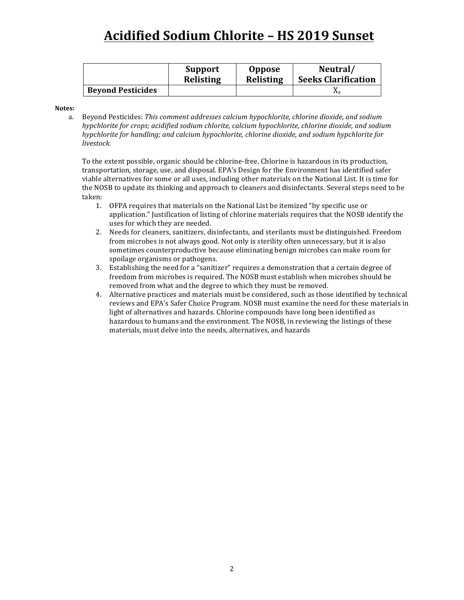# **Acidified Sodium Chlorite – HS 2019 Sunset**

|                          | <b>Support</b>   | <b>Oppose</b>    | Neutral/                   |
|--------------------------|------------------|------------------|----------------------------|
|                          | <b>Relisting</b> | <b>Relisting</b> | <b>Seeks Clarification</b> |
| <b>Beyond Pesticides</b> |                  |                  | Λa                         |

#### **Notes:**

a. Beyond Pesticides: This comment addresses calcium hypochlorite, chlorine dioxide, and sodium *hypchlorite for crops; acidified sodium chlorite, calcium hypochlorite, chlorine dioxide, and sodium hypchlorite for handling; and calcium hypochlorite, chlorine dioxide, and sodium hypchlorite for livestock.* 

To the extent possible, organic should be chlorine-free. Chlorine is hazardous in its production, transportation, storage, use, and disposal. EPA's Design for the Environment has identified safer viable alternatives for some or all uses, including other materials on the National List. It is time for the NOSB to update its thinking and approach to cleaners and disinfectants. Several steps need to be taken: 

- 1. OFPA requires that materials on the National List be itemized "by specific use or application." Iustification of listing of chlorine materials requires that the NOSB identify the uses for which they are needed.
- 2. Needs for cleaners, sanitizers, disinfectants, and sterilants must be distinguished. Freedom from microbes is not always good. Not only is sterility often unnecessary, but it is also sometimes counterproductive because eliminating benign microbes can make room for spoilage organisms or pathogens.
- 3. Establishing the need for a "sanitizer" requires a demonstration that a certain degree of freedom from microbes is required. The NOSB must establish when microbes should be removed from what and the degree to which they must be removed.
- 4. Alternative practices and materials must be considered, such as those identified by technical reviews and EPA's Safer Choice Program. NOSB must examine the need for these materials in light of alternatives and hazards. Chlorine compounds have long been identified as hazardous to humans and the environment. The NOSB, in reviewing the listings of these materials, must delve into the needs, alternatives, and hazards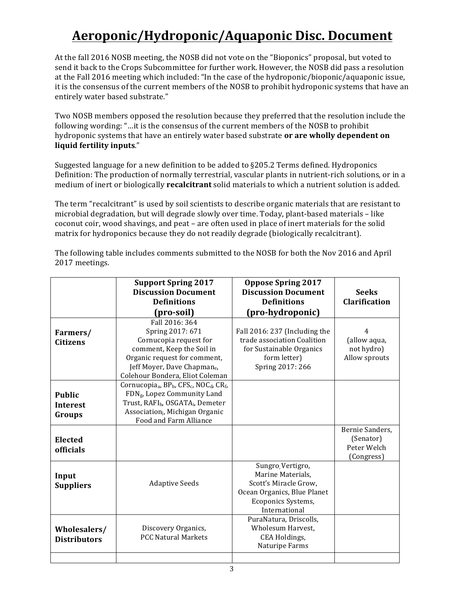# **Aeroponic/Hydroponic/Aquaponic Disc. Document**

At the fall 2016 NOSB meeting, the NOSB did not vote on the "Bioponics" proposal, but voted to send it back to the Crops Subcommittee for further work. However, the NOSB did pass a resolution at the Fall 2016 meeting which included: "In the case of the hydroponic/bioponic/aquaponic issue, it is the consensus of the current members of the NOSB to prohibit hydroponic systems that have an entirely water based substrate."

Two NOSB members opposed the resolution because they preferred that the resolution include the following wording: "...it is the consensus of the current members of the NOSB to prohibit hydroponic systems that have an entirely water based substrate **or are wholly dependent on liquid fertility inputs**."

Suggested language for a new definition to be added to §205.2 Terms defined. Hydroponics Definition: The production of normally terrestrial, vascular plants in nutrient-rich solutions, or in a medium of inert or biologically **recalcitrant** solid materials to which a nutrient solution is added.

The term "recalcitrant" is used by soil scientists to describe organic materials that are resistant to microbial degradation, but will degrade slowly over time. Today, plant-based materials – like coconut coir, wood shavings, and peat – are often used in place of inert materials for the solid matrix for hydroponics because they do not readily degrade (biologically recalcitrant).

The following table includes comments submitted to the NOSB for both the Nov 2016 and April 2017 meetings.

|                                            | <b>Support Spring 2017</b><br><b>Discussion Document</b><br><b>Definitions</b><br>(pro-soil)                                                                                                                                                              | <b>Oppose Spring 2017</b><br><b>Discussion Document</b><br><b>Definitions</b><br>(pro-hydroponic)                                    | <b>Seeks</b><br><b>Clarification</b>                      |
|--------------------------------------------|-----------------------------------------------------------------------------------------------------------------------------------------------------------------------------------------------------------------------------------------------------------|--------------------------------------------------------------------------------------------------------------------------------------|-----------------------------------------------------------|
| Farmers/<br><b>Citizens</b>                | Fall 2016: 364<br>Spring 2017: 671<br>Cornucopia request for<br>comment, Keep the Soil in<br>Organic request for comment,<br>Jeff Moyer, Dave Chapmane,<br>Colehour Bondera, Eliot Coleman                                                                | Fall 2016: 237 (Including the<br>trade association Coalition<br>for Sustainable Organics<br>form letter)<br>Spring 2017: 266         | 4<br>(allow aqua,<br>not hydro)<br>Allow sprouts          |
| <b>Public</b><br><b>Interest</b><br>Groups | Cornucopia <sub>a</sub> , BP <sub>b</sub> , CFS <sub>c</sub> , NOC <sub>d</sub> , CR <sub>f</sub> ,<br>FDN <sub>g</sub> , Lopez Community Land<br>Trust, RAFIh, OSGATA;, Demeter<br>Association <sub>i</sub> , Michigan Organic<br>Food and Farm Alliance |                                                                                                                                      |                                                           |
| <b>Elected</b><br><b>officials</b>         |                                                                                                                                                                                                                                                           |                                                                                                                                      | Bernie Sanders,<br>(Senator)<br>Peter Welch<br>(Congress) |
| Input<br><b>Suppliers</b>                  | <b>Adaptive Seeds</b>                                                                                                                                                                                                                                     | Sungro Vertigro,<br>Marine Materials,<br>Scott's Miracle Grow,<br>Ocean Organics, Blue Planet<br>Ecoponics Systems,<br>International |                                                           |
| Wholesalers/<br><b>Distributors</b>        | Discovery Organics,<br><b>PCC Natural Markets</b>                                                                                                                                                                                                         | PuraNatura, Driscolls,<br>Wholesum Harvest.<br>CEA Holdings,<br>Naturipe Farms                                                       |                                                           |
|                                            |                                                                                                                                                                                                                                                           |                                                                                                                                      |                                                           |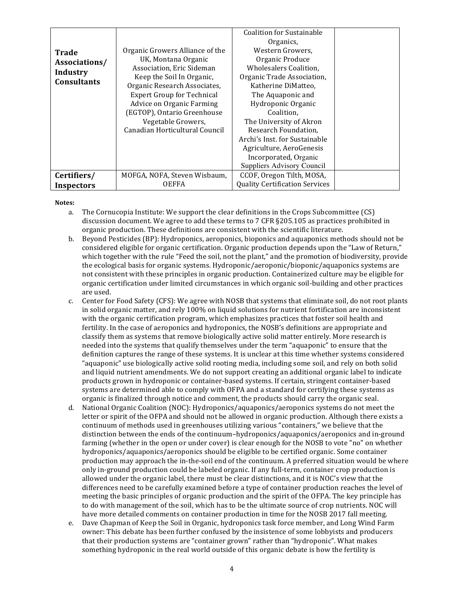| <b>Trade</b><br>Associations/<br>Industry<br><b>Consultants</b> | Organic Growers Alliance of the<br>UK, Montana Organic<br>Association, Eric Sideman<br>Keep the Soil In Organic,<br>Organic Research Associates,<br><b>Expert Group for Technical</b><br>Advice on Organic Farming<br>(EGTOP), Ontario Greenhouse<br>Vegetable Growers,<br>Canadian Horticultural Council | <b>Coalition for Sustainable</b><br>Organics,<br>Western Growers,<br>Organic Produce<br>Wholesalers Coalition,<br>Organic Trade Association,<br>Katherine DiMatteo,<br>The Aquaponic and<br>Hydroponic Organic<br>Coalition.<br>The University of Akron<br>Research Foundation,<br>Archi's Inst. for Sustainable<br>Agriculture, AeroGenesis<br>Incorporated, Organic<br>Suppliers Advisory Council |  |
|-----------------------------------------------------------------|-----------------------------------------------------------------------------------------------------------------------------------------------------------------------------------------------------------------------------------------------------------------------------------------------------------|-----------------------------------------------------------------------------------------------------------------------------------------------------------------------------------------------------------------------------------------------------------------------------------------------------------------------------------------------------------------------------------------------------|--|
| Certifiers/                                                     | MOFGA, NOFA, Steven Wisbaum,<br><b>OEFFA</b>                                                                                                                                                                                                                                                              | CCOF, Oregon Tilth, MOSA,<br><b>Quality Certification Services</b>                                                                                                                                                                                                                                                                                                                                  |  |
| <b>Inspectors</b>                                               |                                                                                                                                                                                                                                                                                                           |                                                                                                                                                                                                                                                                                                                                                                                                     |  |

- a. The Cornucopia Institute: We support the clear definitions in the Crops Subcommittee (CS) discussion document. We agree to add these terms to 7 CFR §205.105 as practices prohibited in organic production. These definitions are consistent with the scientific literature.
- b. Beyond Pesticides (BP): Hydroponics, aeroponics, bioponics and aquaponics methods should not be considered eligible for organic certification. Organic production depends upon the "Law of Return," which together with the rule "Feed the soil, not the plant," and the promotion of biodiversity, provide the ecological basis for organic systems. Hydroponic/aeroponic/bioponic/aquaponics systems are not consistent with these principles in organic production. Containerized culture may be eligible for organic certification under limited circumstances in which organic soil-building and other practices are used.
- c. Center for Food Safety (CFS): We agree with NOSB that systems that eliminate soil, do not root plants in solid organic matter, and rely 100% on liquid solutions for nutrient fortification are inconsistent with the organic certification program, which emphasizes practices that foster soil health and fertility. In the case of aeroponics and hydroponics, the NOSB's definitions are appropriate and classify them as systems that remove biologically active solid matter entirely. More research is needed into the systems that qualify themselves under the term "aquaponic" to ensure that the definition captures the range of these systems. It is unclear at this time whether systems considered "aquaponic" use biologically active solid rooting media, including some soil, and rely on both solid and liquid nutrient amendments. We do not support creating an additional organic label to indicate products grown in hydroponic or container-based systems. If certain, stringent container-based systems are determined able to comply with OFPA and a standard for certifying these systems as organic is finalized through notice and comment, the products should carry the organic seal.
- d. National Organic Coalition (NOC): Hydroponics/aquaponics/aeroponics systems do not meet the letter or spirit of the OFPA and should not be allowed in organic production. Although there exists a continuum of methods used in greenhouses utilizing various "containers," we believe that the distinction between the ends of the continuum-hydroponics/aquaponics/aeroponics and in-ground farming (whether in the open or under cover) is clear enough for the NOSB to vote "no" on whether hydroponics/aquaponics/aeroponics should be eligible to be certified organic. Some container production may approach the in-the-soil end of the continuum. A preferred situation would be where only in-ground production could be labeled organic. If any full-term, container crop production is allowed under the organic label, there must be clear distinctions, and it is NOC's view that the differences need to be carefully examined before a type of container production reaches the level of meeting the basic principles of organic production and the spirit of the OFPA. The key principle has to do with management of the soil, which has to be the ultimate source of crop nutrients. NOC will have more detailed comments on container production in time for the NOSB 2017 fall meeting.
- e. Dave Chapman of Keep the Soil in Organic, hydroponics task force member, and Long Wind Farm owner: This debate has been further confused by the insistence of some lobbyists and producers that their production systems are "container grown" rather than "hydroponic". What makes something hydroponic in the real world outside of this organic debate is how the fertility is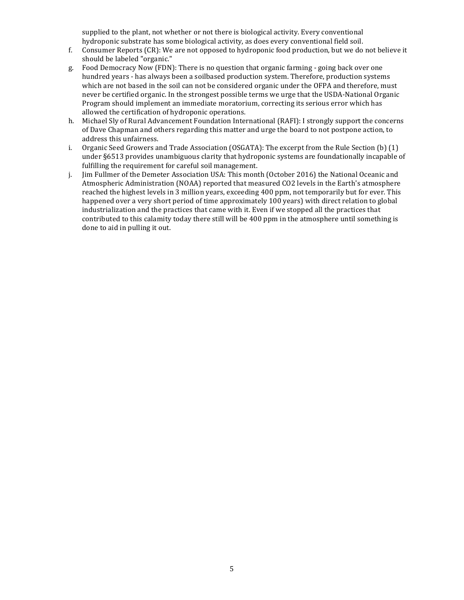supplied to the plant, not whether or not there is biological activity. Every conventional hydroponic substrate has some biological activity, as does every conventional field soil.

- f. Consumer Reports (CR): We are not opposed to hydroponic food production, but we do not believe it should be labeled "organic."
- g. Food Democracy Now (FDN): There is no question that organic farming going back over one hundred years - has always been a soilbased production system. Therefore, production systems which are not based in the soil can not be considered organic under the OFPA and therefore, must never be certified organic. In the strongest possible terms we urge that the USDA-National Organic Program should implement an immediate moratorium, correcting its serious error which has allowed the certification of hydroponic operations.
- h. Michael Sly of Rural Advancement Foundation International (RAFI): I strongly support the concerns of Dave Chapman and others regarding this matter and urge the board to not postpone action, to address this unfairness.
- i. Organic Seed Growers and Trade Association  $(OSGATA)$ : The excerpt from the Rule Section  $(b)$   $(1)$ under §6513 provides unambiguous clarity that hydroponic systems are foundationally incapable of fulfilling the requirement for careful soil management.
- j. Jim Fullmer of the Demeter Association USA: This month (October 2016) the National Oceanic and Atmospheric Administration (NOAA) reported that measured CO2 levels in the Earth's atmosphere reached the highest levels in 3 million years, exceeding 400 ppm, not temporarily but for ever. This happened over a very short period of time approximately 100 years) with direct relation to global industrialization and the practices that came with it. Even if we stopped all the practices that contributed to this calamity today there still will be 400 ppm in the atmosphere until something is done to aid in pulling it out.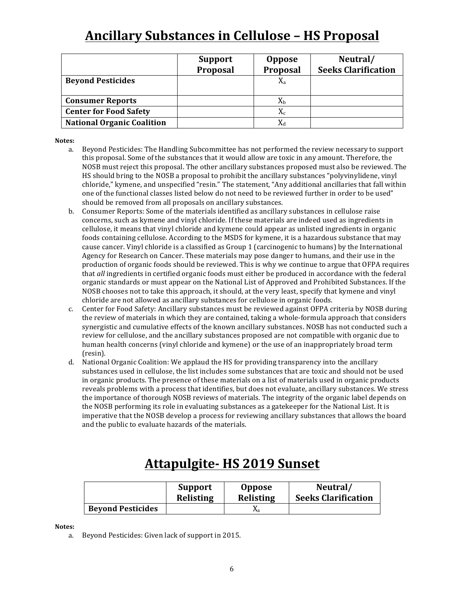# **Ancillary Substances in Cellulose - HS Proposal**

|                                   | <b>Support</b><br>Proposal | <b>Oppose</b><br><b>Proposal</b> | Neutral/<br><b>Seeks Clarification</b> |
|-----------------------------------|----------------------------|----------------------------------|----------------------------------------|
| <b>Beyond Pesticides</b>          |                            | $X_{a}$                          |                                        |
| <b>Consumer Reports</b>           |                            | $X_{b}$                          |                                        |
| <b>Center for Food Safety</b>     |                            | $X_c$                            |                                        |
| <b>National Organic Coalition</b> |                            | $X_d$                            |                                        |

#### **Notes:**

- a. Beyond Pesticides: The Handling Subcommittee has not performed the review necessary to support this proposal. Some of the substances that it would allow are toxic in any amount. Therefore, the NOSB must reject this proposal. The other ancillary substances proposed must also be reviewed. The HS should bring to the NOSB a proposal to prohibit the ancillary substances "polyvinylidene, vinyl chloride," kymene, and unspecified "resin." The statement, "Any additional ancillaries that fall within one of the functional classes listed below do not need to be reviewed further in order to be used" should be removed from all proposals on ancillary substances.
- b. Consumer Reports: Some of the materials identified as ancillary substances in cellulose raise concerns, such as kymene and vinyl chloride. If these materials are indeed used as ingredients in cellulose, it means that vinyl chloride and kymene could appear as unlisted ingredients in organic foods containing cellulose. According to the MSDS for kymene, it is a hazardous substance that may cause cancer. Vinyl chloride is a classified as Group 1 (carcinogenic to humans) by the International Agency for Research on Cancer. These materials may pose danger to humans, and their use in the production of organic foods should be reviewed. This is why we continue to argue that OFPA requires that *all* ingredients in certified organic foods must either be produced in accordance with the federal organic standards or must appear on the National List of Approved and Prohibited Substances. If the NOSB chooses not to take this approach, it should, at the very least, specify that kymene and vinyl chloride are not allowed as ancillary substances for cellulose in organic foods.
- c. Center for Food Safety: Ancillary substances must be reviewed against OFPA criteria by NOSB during the review of materials in which they are contained, taking a whole-formula approach that considers synergistic and cumulative effects of the known ancillary substances. NOSB has not conducted such a review for cellulose, and the ancillary substances proposed are not compatible with organic due to human health concerns (vinyl chloride and kymene) or the use of an inappropriately broad term (resin).
- d. National Organic Coalition: We applaud the HS for providing transparency into the ancillary substances used in cellulose, the list includes some substances that are toxic and should not be used in organic products. The presence of these materials on a list of materials used in organic products reveals problems with a process that identifies, but does not evaluate, ancillary substances. We stress the importance of thorough NOSB reviews of materials. The integrity of the organic label depends on the NOSB performing its role in evaluating substances as a gatekeeper for the National List. It is imperative that the NOSB develop a process for reviewing ancillary substances that allows the board and the public to evaluate hazards of the materials.

## **Attapulgite- HS 2019 Sunset**

|                          | <b>Support</b>   | <b>Oppose</b>    | Neutral/                   |
|--------------------------|------------------|------------------|----------------------------|
|                          | <b>Relisting</b> | <b>Relisting</b> | <b>Seeks Clarification</b> |
| <b>Beyond Pesticides</b> |                  | Λa               |                            |

#### **Notes:**

a. Beyond Pesticides: Given lack of support in 2015.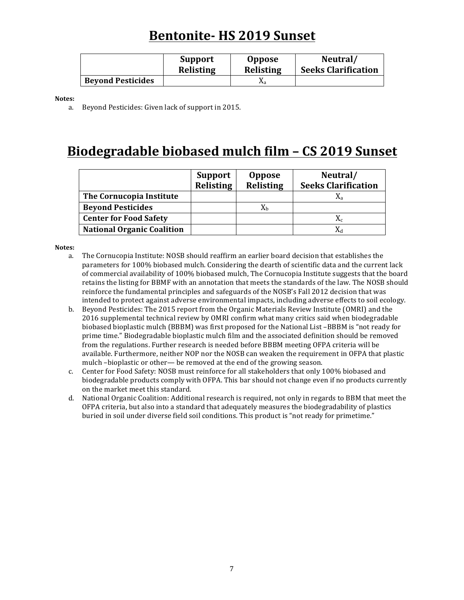### **Bentonite- HS 2019 Sunset**

|                          | <b>Support</b>   | <b>Oppose</b>    | Neutral/                   |
|--------------------------|------------------|------------------|----------------------------|
|                          | <b>Relisting</b> | <b>Relisting</b> | <b>Seeks Clarification</b> |
| <b>Beyond Pesticides</b> |                  |                  |                            |

**Notes:**

a. Beyond Pesticides: Given lack of support in 2015.

### Biodegradable biobased mulch film - CS 2019 Sunset

|                                   | <b>Support</b><br><b>Relisting</b> | <b>Oppose</b><br>Relisting | Neutral/<br><b>Seeks Clarification</b> |
|-----------------------------------|------------------------------------|----------------------------|----------------------------------------|
| The Cornucopia Institute          |                                    |                            |                                        |
| <b>Beyond Pesticides</b>          |                                    | Xь                         |                                        |
| <b>Center for Food Safety</b>     |                                    |                            | $X_c$                                  |
| <b>National Organic Coalition</b> |                                    |                            |                                        |

- a. The Cornucopia Institute: NOSB should reaffirm an earlier board decision that establishes the parameters for 100% biobased mulch. Considering the dearth of scientific data and the current lack of commercial availability of 100% biobased mulch, The Cornucopia Institute suggests that the board retains the listing for BBMF with an annotation that meets the standards of the law. The NOSB should reinforce the fundamental principles and safeguards of the NOSB's Fall 2012 decision that was intended to protect against adverse environmental impacts, including adverse effects to soil ecology.
- b. Beyond Pesticides: The 2015 report from the Organic Materials Review Institute (OMRI) and the 2016 supplemental technical review by OMRI confirm what many critics said when biodegradable biobased bioplastic mulch (BBBM) was first proposed for the National List –BBBM is "not ready for prime time." Biodegradable bioplastic mulch film and the associated definition should be removed from the regulations. Further research is needed before BBBM meeting OFPA criteria will be available. Furthermore, neither NOP nor the NOSB can weaken the requirement in OFPA that plastic mulch -bioplastic or other— be removed at the end of the growing season.
- c. Center for Food Safety: NOSB must reinforce for all stakeholders that only 100% biobased and biodegradable products comply with OFPA. This bar should not change even if no products currently on the market meet this standard.
- d. National Organic Coalition: Additional research is required, not only in regards to BBM that meet the OFPA criteria, but also into a standard that adequately measures the biodegradability of plastics buried in soil under diverse field soil conditions. This product is "not ready for primetime."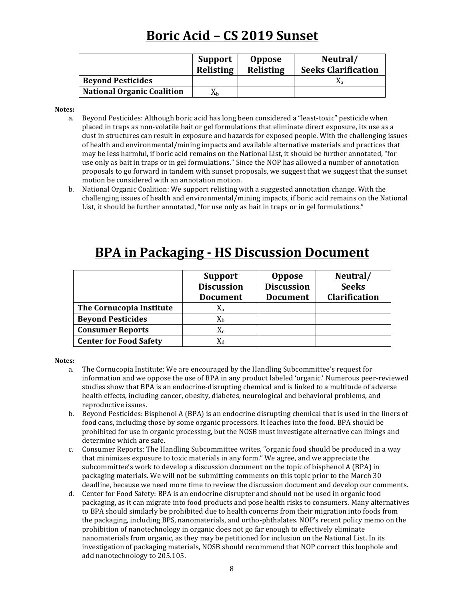# **Boric Acid – CS 2019 Sunset**

|                                   | <b>Support</b><br>Relisting | <b>Oppose</b><br><b>Relisting</b> | Neutral/<br><b>Seeks Clarification</b> |
|-----------------------------------|-----------------------------|-----------------------------------|----------------------------------------|
| <b>Beyond Pesticides</b>          |                             |                                   | Λа                                     |
| <b>National Organic Coalition</b> | Λh                          |                                   |                                        |

**Notes:**

- a. Beyond Pesticides: Although boric acid has long been considered a "least-toxic" pesticide when placed in traps as non-volatile bait or gel formulations that eliminate direct exposure, its use as a dust in structures can result in exposure and hazards for exposed people. With the challenging issues of health and environmental/mining impacts and available alternative materials and practices that may be less harmful, if boric acid remains on the National List, it should be further annotated, "for use only as bait in traps or in gel formulations." Since the NOP has allowed a number of annotation proposals to go forward in tandem with sunset proposals, we suggest that we suggest that the sunset motion be considered with an annotation motion.
- b. National Organic Coalition: We support relisting with a suggested annotation change. With the challenging issues of health and environmental/mining impacts, if boric acid remains on the National List, it should be further annotated, "for use only as bait in traps or in gel formulations."

|                               | <b>Support</b>    | <b>Oppose</b>     | Neutral/             |
|-------------------------------|-------------------|-------------------|----------------------|
|                               | <b>Discussion</b> | <b>Discussion</b> | <b>Seeks</b>         |
|                               | <b>Document</b>   | <b>Document</b>   | <b>Clarification</b> |
| The Cornucopia Institute      | $\rm X_a$         |                   |                      |
| <b>Beyond Pesticides</b>      | $X_{b}$           |                   |                      |
| <b>Consumer Reports</b>       | $\rm X_c$         |                   |                      |
| <b>Center for Food Safety</b> | $X_d$             |                   |                      |

### **BPA** in Packaging - HS Discussion Document

- a. The Cornucopia Institute: We are encouraged by the Handling Subcommittee's request for information and we oppose the use of BPA in any product labeled 'organic.' Numerous peer-reviewed studies show that BPA is an endocrine-disrupting chemical and is linked to a multitude of adverse health effects, including cancer, obesity, diabetes, neurological and behavioral problems, and reproductive issues.
- b. Beyond Pesticides: Bisphenol A (BPA) is an endocrine disrupting chemical that is used in the liners of food cans, including those by some organic processors. It leaches into the food. BPA should be prohibited for use in organic processing, but the NOSB must investigate alternative can linings and determine which are safe.
- c. Consumer Reports: The Handling Subcommittee writes, "organic food should be produced in a way that minimizes exposure to toxic materials in any form." We agree, and we appreciate the subcommittee's work to develop a discussion document on the topic of bisphenol A (BPA) in packaging materials. We will not be submitting comments on this topic prior to the March 30 deadline, because we need more time to review the discussion document and develop our comments.
- d. Center for Food Safety: BPA is an endocrine disrupter and should not be used in organic food packaging, as it can migrate into food products and pose health risks to consumers. Many alternatives to BPA should similarly be prohibited due to health concerns from their migration into foods from the packaging, including BPS, nanomaterials, and ortho-phthalates. NOP's recent policy memo on the prohibition of nanotechnology in organic does not go far enough to effectively eliminate nanomaterials from organic, as they may be petitioned for inclusion on the National List. In its investigation of packaging materials, NOSB should recommend that NOP correct this loophole and add nanotechnology to 205.105.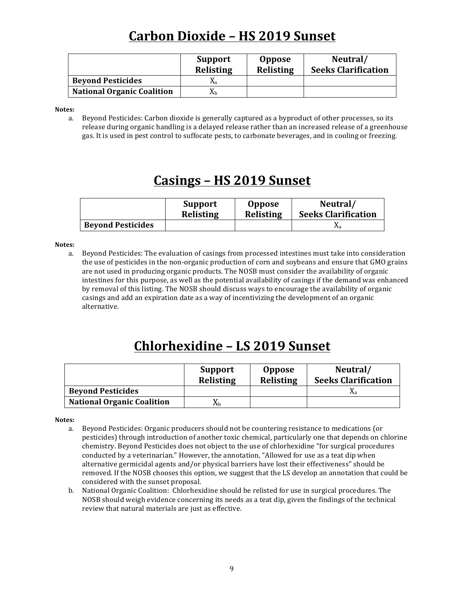# **Carbon Dioxide – HS 2019 Sunset**

|                                   | <b>Support</b><br><b>Relisting</b> | <b>Oppose</b><br>Relisting | Neutral/<br><b>Seeks Clarification</b> |
|-----------------------------------|------------------------------------|----------------------------|----------------------------------------|
| <b>Beyond Pesticides</b>          | Δа                                 |                            |                                        |
| <b>National Organic Coalition</b> |                                    |                            |                                        |

**Notes:**

a. Beyond Pesticides: Carbon dioxide is generally captured as a byproduct of other processes, so its release during organic handling is a delayed release rather than an increased release of a greenhouse gas. It is used in pest control to suffocate pests, to carbonate beverages, and in cooling or freezing.

#### **Casings – HS 2019 Sunset**

|                          | <b>Support</b>   | <b>Oppose</b>    | Neutral/                   |
|--------------------------|------------------|------------------|----------------------------|
|                          | <b>Relisting</b> | <b>Relisting</b> | <b>Seeks Clarification</b> |
| <b>Beyond Pesticides</b> |                  |                  | Λа                         |

#### **Notes:**

a. Beyond Pesticides: The evaluation of casings from processed intestines must take into consideration the use of pesticides in the non-organic production of corn and soybeans and ensure that GMO grains are not used in producing organic products. The NOSB must consider the availability of organic intestines for this purpose, as well as the potential availability of casings if the demand was enhanced by removal of this listing. The NOSB should discuss ways to encourage the availability of organic casings and add an expiration date as a way of incentivizing the development of an organic alternative.

# **Chlorhexidine – LS 2019 Sunset**

|                                   | <b>Support</b><br><b>Relisting</b> | <b>Oppose</b><br><b>Relisting</b> | Neutral/<br><b>Seeks Clarification</b> |
|-----------------------------------|------------------------------------|-----------------------------------|----------------------------------------|
| <b>Beyond Pesticides</b>          |                                    |                                   | Åа                                     |
| <b>National Organic Coalition</b> | Λh                                 |                                   |                                        |

- a. Beyond Pesticides: Organic producers should not be countering resistance to medications (or pesticides) through introduction of another toxic chemical, particularly one that depends on chlorine chemistry. Beyond Pesticides does not object to the use of chlorhexidine "for surgical procedures conducted by a veterinarian." However, the annotation, "Allowed for use as a teat dip when alternative germicidal agents and/or physical barriers have lost their effectiveness" should be removed. If the NOSB chooses this option, we suggest that the LS develop an annotation that could be considered with the sunset proposal.
- b. National Organic Coalition: Chlorhexidine should be relisted for use in surgical procedures. The NOSB should weigh evidence concerning its needs as a teat dip, given the findings of the technical review that natural materials are just as effective.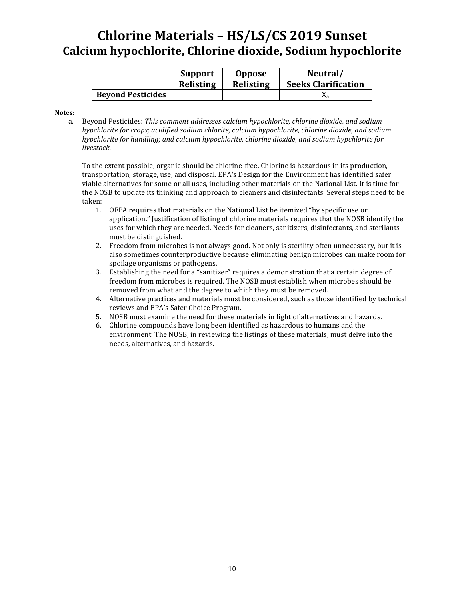### **Chlorine Materials - HS/LS/CS 2019 Sunset Calcium hypochlorite, Chlorine dioxide, Sodium hypochlorite**

|                          | <b>Support</b> | <b>Oppose</b>    | Neutral/                   |
|--------------------------|----------------|------------------|----------------------------|
|                          | Relisting      | <b>Relisting</b> | <b>Seeks Clarification</b> |
| <b>Beyond Pesticides</b> |                |                  | Лa                         |

#### **Notes:**

a. Beyond Pesticides: This comment addresses calcium hypochlorite, chlorine dioxide, and sodium *hypchlorite for crops; acidified sodium chlorite, calcium hypochlorite, chlorine dioxide, and sodium hypchlorite for handling; and calcium hypochlorite, chlorine dioxide, and sodium hypchlorite for livestock.*

To the extent possible, organic should be chlorine-free. Chlorine is hazardous in its production, transportation, storage, use, and disposal. EPA's Design for the Environment has identified safer viable alternatives for some or all uses, including other materials on the National List. It is time for the NOSB to update its thinking and approach to cleaners and disinfectants. Several steps need to be taken:

- 1. OFPA requires that materials on the National List be itemized "by specific use or application." Iustification of listing of chlorine materials requires that the NOSB identify the uses for which they are needed. Needs for cleaners, sanitizers, disinfectants, and sterilants must be distinguished.
- 2. Freedom from microbes is not always good. Not only is sterility often unnecessary, but it is also sometimes counterproductive because eliminating benign microbes can make room for spoilage organisms or pathogens.
- 3. Establishing the need for a "sanitizer" requires a demonstration that a certain degree of freedom from microbes is required. The NOSB must establish when microbes should be removed from what and the degree to which they must be removed.
- 4. Alternative practices and materials must be considered, such as those identified by technical reviews and EPA's Safer Choice Program.
- 5. NOSB must examine the need for these materials in light of alternatives and hazards.
- 6. Chlorine compounds have long been identified as hazardous to humans and the environment. The NOSB, in reviewing the listings of these materials, must delve into the needs, alternatives, and hazards.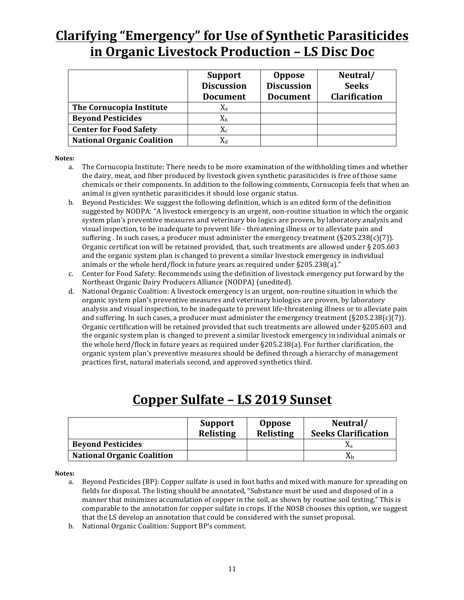# **Clarifying "Emergency" for Use of Synthetic Parasiticides in Organic Livestock Production - LS Disc Doc**

|                                   | <b>Support</b><br><b>Discussion</b><br><b>Document</b> | <b>Oppose</b><br><b>Discussion</b><br><b>Document</b> | Neutral/<br><b>Seeks</b><br><b>Clarification</b> |
|-----------------------------------|--------------------------------------------------------|-------------------------------------------------------|--------------------------------------------------|
| The Cornucopia Institute          | $X_{a}$                                                |                                                       |                                                  |
| <b>Beyond Pesticides</b>          | $\rm X_b$                                              |                                                       |                                                  |
| <b>Center for Food Safety</b>     | $\rm X_c$                                              |                                                       |                                                  |
| <b>National Organic Coalition</b> | Xл                                                     |                                                       |                                                  |

#### **Notes:**

- a. The Cornucopia Institute: There needs to be more examination of the withholding times and whether the dairy, meat, and fiber produced by livestock given synthetic parasiticides is free of those same chemicals or their components. In addition to the following comments, Cornucopia feels that when an animal is given synthetic parasiticides it should lose organic status.
- b. Beyond Pesticides: We suggest the following definition, which is an edited form of the definition suggested by NODPA: "A livestock emergency is an urgent, non-routine situation in which the organic system plan's preventive measures and veterinary bio logics are proven, by laboratory analysis and visual inspection, to be inadequate to prevent life - threatening illness or to alleviate pain and suffering . In such cases, a producer must administer the emergency treatment  $(\frac{6205.238(c)}{7})$ . Organic certificat ion will be retained provided, that, such treatments are allowed under  $\S 205.603$ and the organic system plan is changed to prevent a similar livestock emergency in individual animals or the whole herd/flock in future years as required under  $\S205.238(a)$ ."
- c. Center for Food Safety: Recommends using the definition of livestock emergency put forward by the Northeast Organic Dairy Producers Alliance (NODPA) (unedited).
- d. National Organic Coalition: A livestock emergency is an urgent, non-routine situation in which the organic system plan's preventive measures and veterinary biologics are proven, by laboratory analysis and visual inspection, to be inadequate to prevent life-threatening illness or to alleviate pain and suffering. In such cases, a producer must administer the emergency treatment  $(8205.238(c)(7))$ . Organic certification will be retained provided that such treatments are allowed under §205.603 and the organic system plan is changed to prevent a similar livestock emergency in individual animals or the whole herd/flock in future years as required under  $\S205.238(a)$ . For further clarification, the organic system plan's preventive measures should be defined through a hierarchy of management practices first, natural materials second, and approved synthetics third.

### **Copper Sulfate – LS 2019 Sunset**

|                                   | Support<br><b>Relisting</b> | <b>Oppose</b><br>Relisting | Neutral/<br><b>Seeks Clarification</b> |
|-----------------------------------|-----------------------------|----------------------------|----------------------------------------|
| <b>Beyond Pesticides</b>          |                             |                            | Åа                                     |
| <b>National Organic Coalition</b> |                             |                            | Δh.                                    |

- a. Beyond Pesticides (BP): Copper sulfate is used in foot baths and mixed with manure for spreading on fields for disposal. The listing should be annotated, "Substance must be used and disposed of in a manner that minimizes accumulation of copper in the soil, as shown by routine soil testing." This is comparable to the annotation for copper sulfate in crops. If the NOSB chooses this option, we suggest that the LS develop an annotation that could be considered with the sunset proposal.
- b. National Organic Coalition: Support BP's comment.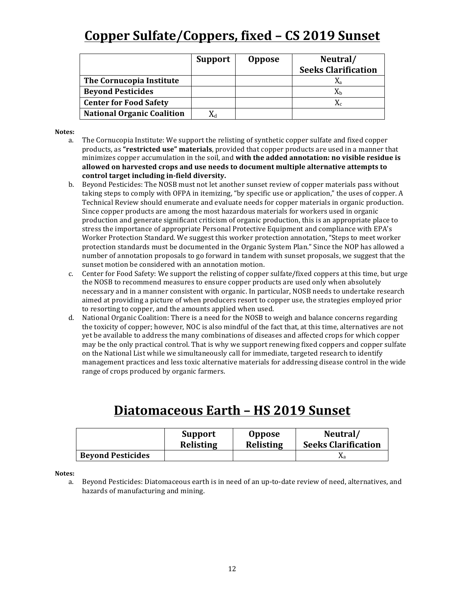# **Copper Sulfate/Coppers, fixed - CS 2019 Sunset**

|                                   | Support | <b>Oppose</b> | Neutral/                   |
|-----------------------------------|---------|---------------|----------------------------|
|                                   |         |               | <b>Seeks Clarification</b> |
| The Cornucopia Institute          |         |               |                            |
| <b>Beyond Pesticides</b>          |         |               |                            |
| <b>Center for Food Safety</b>     |         |               |                            |
| <b>National Organic Coalition</b> |         |               |                            |

#### **Notes:**

- a. The Cornucopia Institute: We support the relisting of synthetic copper sulfate and fixed copper products, as "**restricted use" materials**, provided that copper products are used in a manner that minimizes copper accumulation in the soil, and **with the added annotation: no visible residue is** allowed on harvested crops and use needs to document multiple alternative attempts to control target including in-field diversity.
- b. Beyond Pesticides: The NOSB must not let another sunset review of copper materials pass without taking steps to comply with OFPA in itemizing, "by specific use or application," the uses of copper. A Technical Review should enumerate and evaluate needs for copper materials in organic production. Since copper products are among the most hazardous materials for workers used in organic production and generate significant criticism of organic production, this is an appropriate place to stress the importance of appropriate Personal Protective Equipment and compliance with EPA's Worker Protection Standard. We suggest this worker protection annotation, "Steps to meet worker protection standards must be documented in the Organic System Plan." Since the NOP has allowed a number of annotation proposals to go forward in tandem with sunset proposals, we suggest that the sunset motion be considered with an annotation motion.
- c. Center for Food Safety: We support the relisting of copper sulfate/fixed coppers at this time, but urge the NOSB to recommend measures to ensure copper products are used only when absolutely necessary and in a manner consistent with organic. In particular, NOSB needs to undertake research aimed at providing a picture of when producers resort to copper use, the strategies employed prior to resorting to copper, and the amounts applied when used.
- d. National Organic Coalition: There is a need for the NOSB to weigh and balance concerns regarding the toxicity of copper; however, NOC is also mindful of the fact that, at this time, alternatives are not yet be available to address the many combinations of diseases and affected crops for which copper may be the only practical control. That is why we support renewing fixed coppers and copper sulfate on the National List while we simultaneously call for immediate, targeted research to identify management practices and less toxic alternative materials for addressing disease control in the wide range of crops produced by organic farmers.

#### **Diatomaceous Earth – HS 2019 Sunset**

|                          | <b>Support</b>   | <b>Oppose</b>    | Neutral/                   |
|--------------------------|------------------|------------------|----------------------------|
|                          | <b>Relisting</b> | <b>Relisting</b> | <b>Seeks Clarification</b> |
| <b>Beyond Pesticides</b> |                  |                  | Λа                         |

**Notes:**

a. Beyond Pesticides: Diatomaceous earth is in need of an up-to-date review of need, alternatives, and hazards of manufacturing and mining.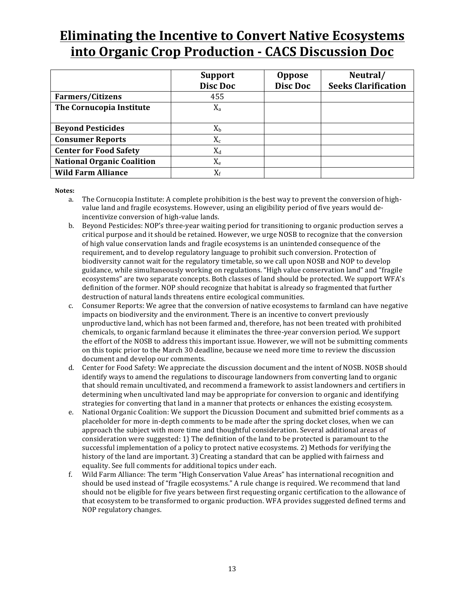## **Eliminating the Incentive to Convert Native Ecosystems into Organic Crop Production - CACS Discussion Doc**

|                                   | <b>Support</b> | <b>Oppose</b> | Neutral/                   |
|-----------------------------------|----------------|---------------|----------------------------|
|                                   | Disc Doc       | Disc Doc      | <b>Seeks Clarification</b> |
| <b>Farmers/Citizens</b>           | 455            |               |                            |
| The Cornucopia Institute          | $X_{a}$        |               |                            |
|                                   |                |               |                            |
| <b>Beyond Pesticides</b>          | $X_{b}$        |               |                            |
| <b>Consumer Reports</b>           | $X_c$          |               |                            |
| <b>Center for Food Safety</b>     | $X_d$          |               |                            |
| <b>National Organic Coalition</b> | $X_{e}$        |               |                            |
| <b>Wild Farm Alliance</b>         | $X_f$          |               |                            |

- a. The Cornucopia Institute: A complete prohibition is the best way to prevent the conversion of highvalue land and fragile ecosystems. However, using an eligibility period of five years would deincentivize conversion of high-value lands.
- b. Beyond Pesticides: NOP's three-year waiting period for transitioning to organic production serves a critical purpose and it should be retained. However, we urge NOSB to recognize that the conversion of high value conservation lands and fragile ecosystems is an unintended consequence of the requirement, and to develop regulatory language to prohibit such conversion. Protection of biodiversity cannot wait for the regulatory timetable, so we call upon NOSB and NOP to develop guidance, while simultaneously working on regulations. "High value conservation land" and "fragile ecosystems" are two separate concepts. Both classes of land should be protected. We support WFA's definition of the former. NOP should recognize that habitat is already so fragmented that further destruction of natural lands threatens entire ecological communities.
- c. Consumer Reports: We agree that the conversion of native ecosystems to farmland can have negative impacts on biodiversity and the environment. There is an incentive to convert previously unproductive land, which has not been farmed and, therefore, has not been treated with prohibited chemicals, to organic farmland because it eliminates the three-year conversion period. We support the effort of the NOSB to address this important issue. However, we will not be submitting comments on this topic prior to the March 30 deadline, because we need more time to review the discussion document and develop our comments.
- d. Center for Food Safety: We appreciate the discussion document and the intent of NOSB. NOSB should identify ways to amend the regulations to discourage landowners from converting land to organic that should remain uncultivated, and recommend a framework to assist landowners and certifiers in determining when uncultivated land may be appropriate for conversion to organic and identifying strategies for converting that land in a manner that protects or enhances the existing ecosystem.
- e. National Organic Coalition: We support the Dicussion Document and submitted brief comments as a placeholder for more in-depth comments to be made after the spring docket closes, when we can approach the subject with more time and thoughtful consideration. Several additional areas of consideration were suggested: 1) The definition of the land to be protected is paramount to the successful implementation of a policy to protect native ecosystems. 2) Methods for verifying the history of the land are important. 3) Creating a standard that can be applied with fairness and equality. See full comments for additional topics under each.
- f. Wild Farm Alliance: The term "High Conservation Value Areas" has international recognition and should be used instead of "fragile ecosystems." A rule change is required. We recommend that land should not be eligible for five years between first requesting organic certification to the allowance of that ecosystem to be transformed to organic production. WFA provides suggested defined terms and NOP regulatory changes.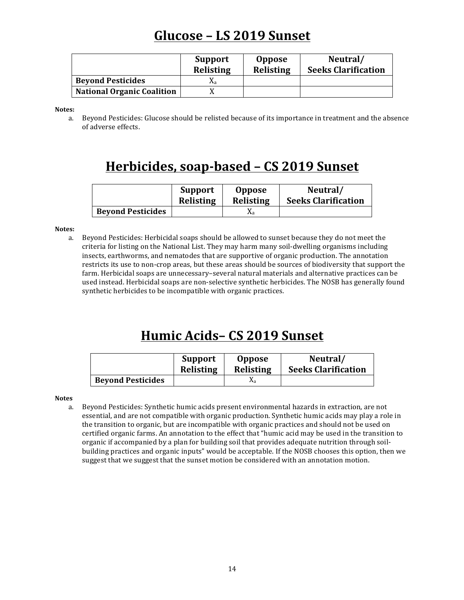## **Glucose – LS 2019 Sunset**

|                                   | <b>Support</b><br><b>Relisting</b> | <b>Oppose</b><br><b>Relisting</b> | Neutral/<br><b>Seeks Clarification</b> |
|-----------------------------------|------------------------------------|-----------------------------------|----------------------------------------|
| <b>Beyond Pesticides</b>          | Δа                                 |                                   |                                        |
| <b>National Organic Coalition</b> |                                    |                                   |                                        |

**Notes:**

a. Beyond Pesticides: Glucose should be relisted because of its importance in treatment and the absence of adverse effects.

### **Herbicides, soap-based – CS 2019 Sunset**

|                          | <b>Support</b>   | <b>Oppose</b>    | Neutral/                   |
|--------------------------|------------------|------------------|----------------------------|
|                          | <b>Relisting</b> | <b>Relisting</b> | <b>Seeks Clarification</b> |
| <b>Beyond Pesticides</b> |                  | Λа               |                            |

#### **Notes:**

a. Beyond Pesticides: Herbicidal soaps should be allowed to sunset because they do not meet the criteria for listing on the National List. They may harm many soil-dwelling organisms including insects, earthworms, and nematodes that are supportive of organic production. The annotation restricts its use to non-crop areas, but these areas should be sources of biodiversity that support the farm. Herbicidal soaps are unnecessary-several natural materials and alternative practices can be used instead. Herbicidal soaps are non-selective synthetic herbicides. The NOSB has generally found synthetic herbicides to be incompatible with organic practices.

## **Humic Acids– CS 2019 Sunset**

|                          | <b>Support</b> | <b>Oppose</b>    | Neutral/                   |
|--------------------------|----------------|------------------|----------------------------|
|                          | Relisting      | <b>Relisting</b> | <b>Seeks Clarification</b> |
| <b>Beyond Pesticides</b> |                | $\Lambda$ a      |                            |

**Notes**

a. Beyond Pesticides: Synthetic humic acids present environmental hazards in extraction, are not essential, and are not compatible with organic production. Synthetic humic acids may play a role in the transition to organic, but are incompatible with organic practices and should not be used on certified organic farms. An annotation to the effect that "humic acid may be used in the transition to organic if accompanied by a plan for building soil that provides adequate nutrition through soilbuilding practices and organic inputs" would be acceptable. If the NOSB chooses this option, then we suggest that we suggest that the sunset motion be considered with an annotation motion.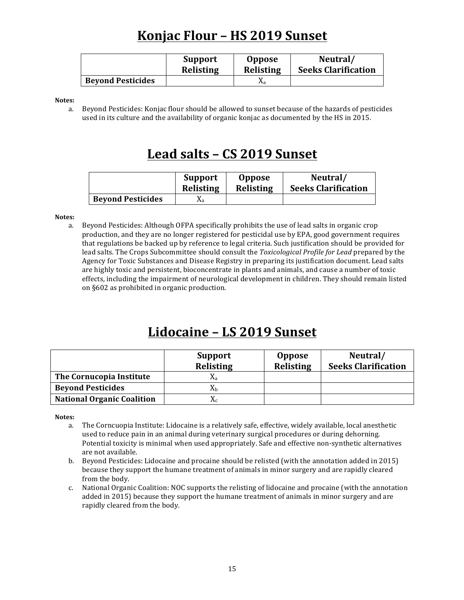# **Konjac Flour - HS 2019 Sunset**

|                          | <b>Support</b> | <b>Oppose</b>    | Neutral/                   |
|--------------------------|----------------|------------------|----------------------------|
|                          | Relisting      | <b>Relisting</b> | <b>Seeks Clarification</b> |
| <b>Beyond Pesticides</b> |                |                  |                            |

**Notes:**

a. Beyond Pesticides: Konjac flour should be allowed to sunset because of the hazards of pesticides used in its culture and the availability of organic konjac as documented by the HS in 2015.

#### **Lead salts – CS 2019 Sunset**

|                          | <b>Support</b>   | <b>Oppose</b>    | Neutral/                   |
|--------------------------|------------------|------------------|----------------------------|
|                          | <b>Relisting</b> | <b>Relisting</b> | <b>Seeks Clarification</b> |
| <b>Beyond Pesticides</b> | Λа               |                  |                            |

#### **Notes:**

a. Beyond Pesticides: Although OFPA specifically prohibits the use of lead salts in organic crop production, and they are no longer registered for pesticidal use by EPA, good government requires that regulations be backed up by reference to legal criteria. Such justification should be provided for lead salts. The Crops Subcommittee should consult the *Toxicological Profile for Lead* prepared by the Agency for Toxic Substances and Disease Registry in preparing its justification document. Lead salts are highly toxic and persistent, bioconcentrate in plants and animals, and cause a number of toxic effects, including the impairment of neurological development in children. They should remain listed on §602 as prohibited in organic production.

#### Lidocaine - LS 2019 Sunset

|                                   | <b>Support</b><br><b>Relisting</b> | <b>Oppose</b><br><b>Relisting</b> | Neutral/<br><b>Seeks Clarification</b> |
|-----------------------------------|------------------------------------|-----------------------------------|----------------------------------------|
| The Cornucopia Institute          | Λа                                 |                                   |                                        |
| <b>Beyond Pesticides</b>          | Лh                                 |                                   |                                        |
| <b>National Organic Coalition</b> | Λc                                 |                                   |                                        |

- a. The Corncuopia Institute: Lidocaine is a relatively safe, effective, widely available, local anesthetic used to reduce pain in an animal during veterinary surgical procedures or during dehorning. Potential toxicity is minimal when used appropriately. Safe and effective non-synthetic alternatives are not available.
- b. Beyond Pesticides: Lidocaine and procaine should be relisted (with the annotation added in 2015) because they support the humane treatment of animals in minor surgery and are rapidly cleared from the body.
- c. National Organic Coalition: NOC supports the relisting of lidocaine and procaine (with the annotation added in 2015) because they support the humane treatment of animals in minor surgery and are rapidly cleared from the body.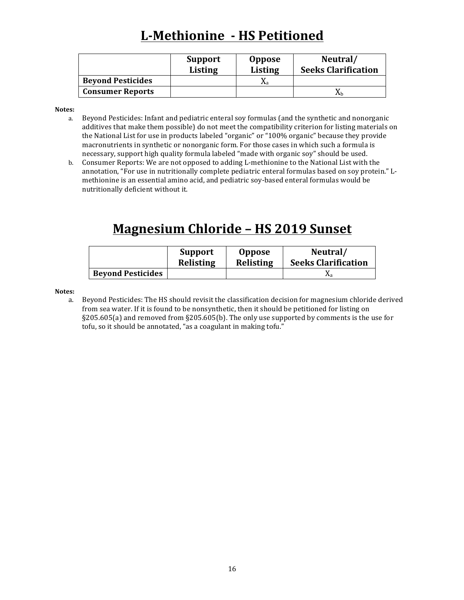# **L-Methionine - HS Petitioned**

|                          | <b>Support</b><br><b>Listing</b> | <b>Oppose</b><br><b>Listing</b> | Neutral/<br><b>Seeks Clarification</b> |
|--------------------------|----------------------------------|---------------------------------|----------------------------------------|
| <b>Beyond Pesticides</b> |                                  | Λа                              |                                        |
| <b>Consumer Reports</b>  |                                  |                                 |                                        |

**Notes:**

- a. Beyond Pesticides: Infant and pediatric enteral soy formulas (and the synthetic and nonorganic additives that make them possible) do not meet the compatibility criterion for listing materials on the National List for use in products labeled "organic" or "100% organic" because they provide macronutrients in synthetic or nonorganic form. For those cases in which such a formula is necessary, support high quality formula labeled "made with organic soy" should be used.
- b. Consumer Reports: We are not opposed to adding L-methionine to the National List with the annotation, "For use in nutritionally complete pediatric enteral formulas based on soy protein." Lmethionine is an essential amino acid, and pediatric soy-based enteral formulas would be nutritionally deficient without it.

# **Magnesium Chloride - HS 2019 Sunset**

|                          | <b>Support</b> | <b>Oppose</b> | Neutral/                   |
|--------------------------|----------------|---------------|----------------------------|
|                          | Relisting      | Relisting     | <b>Seeks Clarification</b> |
| <b>Beyond Pesticides</b> |                |               |                            |

#### **Notes:**

a. Beyond Pesticides: The HS should revisit the classification decision for magnesium chloride derived from sea water. If it is found to be nonsynthetic, then it should be petitioned for listing on  $\S205.605(a)$  and removed from  $\S205.605(b)$ . The only use supported by comments is the use for tofu, so it should be annotated, "as a coagulant in making tofu."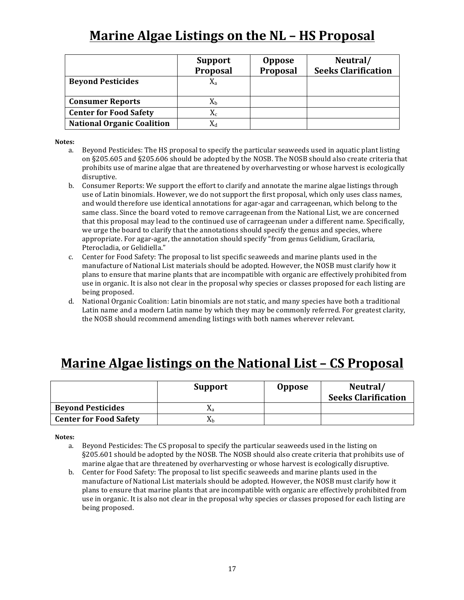# **Marine Algae Listings on the NL - HS Proposal**

|                                   | <b>Support</b><br>Proposal | <b>Oppose</b><br>Proposal | Neutral/<br><b>Seeks Clarification</b> |
|-----------------------------------|----------------------------|---------------------------|----------------------------------------|
| <b>Beyond Pesticides</b>          | $X_{a}$                    |                           |                                        |
| <b>Consumer Reports</b>           | $X_{h}$                    |                           |                                        |
| <b>Center for Food Safety</b>     | $X_c$                      |                           |                                        |
| <b>National Organic Coalition</b> |                            |                           |                                        |

#### **Notes:**

- a. Beyond Pesticides: The HS proposal to specify the particular seaweeds used in aquatic plant listing on §205.605 and §205.606 should be adopted by the NOSB. The NOSB should also create criteria that prohibits use of marine algae that are threatened by overharvesting or whose harvest is ecologically disruptive.
- b. Consumer Reports: We support the effort to clarify and annotate the marine algae listings through use of Latin binomials. However, we do not support the first proposal, which only uses class names, and would therefore use identical annotations for agar-agar and carrageenan, which belong to the same class. Since the board voted to remove carrageenan from the National List, we are concerned that this proposal may lead to the continued use of carrageenan under a different name. Specifically, we urge the board to clarify that the annotations should specify the genus and species, where appropriate. For agar-agar, the annotation should specify "from genus Gelidium, Gracilaria, Pterocladia, or Gelidiella."
- c. Center for Food Safety: The proposal to list specific seaweeds and marine plants used in the manufacture of National List materials should be adopted. However, the NOSB must clarify how it plans to ensure that marine plants that are incompatible with organic are effectively prohibited from use in organic. It is also not clear in the proposal why species or classes proposed for each listing are being proposed.
- d. National Organic Coalition: Latin binomials are not static, and many species have both a traditional Latin name and a modern Latin name by which they may be commonly referred. For greatest clarity, the NOSB should recommend amending listings with both names wherever relevant.

### **Marine Algae listings on the National List – CS Proposal**

|                               | <b>Support</b> | <b>Oppose</b> | Neutral/<br><b>Seeks Clarification</b> |
|-------------------------------|----------------|---------------|----------------------------------------|
| <b>Beyond Pesticides</b>      | Λа             |               |                                        |
| <b>Center for Food Safety</b> | Λh             |               |                                        |

- a. Beyond Pesticides: The CS proposal to specify the particular seaweeds used in the listing on §205.601 should be adopted by the NOSB. The NOSB should also create criteria that prohibits use of marine algae that are threatened by overharvesting or whose harvest is ecologically disruptive.
- b. Center for Food Safety: The proposal to list specific seaweeds and marine plants used in the manufacture of National List materials should be adopted. However, the NOSB must clarify how it plans to ensure that marine plants that are incompatible with organic are effectively prohibited from use in organic. It is also not clear in the proposal why species or classes proposed for each listing are being proposed.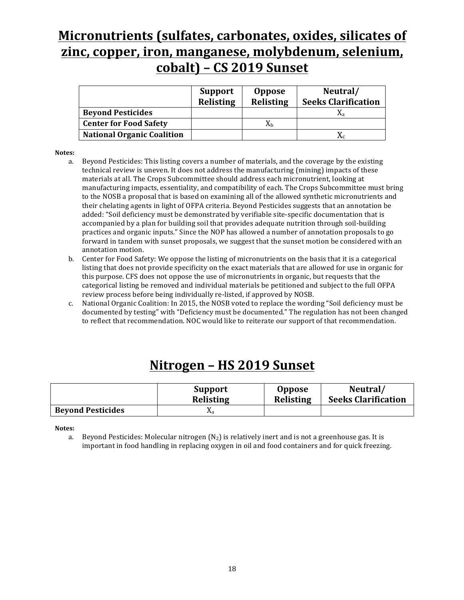## **Micronutrients (sulfates, carbonates, oxides, silicates of** zinc, copper, iron, manganese, molybdenum, selenium, **cobalt) – CS 2019 Sunset**

|                                   | <b>Support</b><br>Relisting | <b>Oppose</b><br>Relisting | Neutral/<br><b>Seeks Clarification</b> |
|-----------------------------------|-----------------------------|----------------------------|----------------------------------------|
| <b>Beyond Pesticides</b>          |                             |                            | Xа                                     |
| <b>Center for Food Safety</b>     |                             | Xь                         |                                        |
| <b>National Organic Coalition</b> |                             |                            | $\rm X_c$                              |

#### **Notes:**

- a. Beyond Pesticides: This listing covers a number of materials, and the coverage by the existing technical review is uneven. It does not address the manufacturing (mining) impacts of these materials at all. The Crops Subcommittee should address each micronutrient, looking at manufacturing impacts, essentiality, and compatibility of each. The Crops Subcommittee must bring to the NOSB a proposal that is based on examining all of the allowed synthetic micronutrients and their chelating agents in light of OFPA criteria. Beyond Pesticides suggests that an annotation be added: "Soil deficiency must be demonstrated by verifiable site-specific documentation that is accompanied by a plan for building soil that provides adequate nutrition through soil-building practices and organic inputs." Since the NOP has allowed a number of annotation proposals to go forward in tandem with sunset proposals, we suggest that the sunset motion be considered with an annotation motion.
- b. Center for Food Safety: We oppose the listing of micronutrients on the basis that it is a categorical listing that does not provide specificity on the exact materials that are allowed for use in organic for this purpose. CFS does not oppose the use of micronutrients in organic, but requests that the categorical listing be removed and individual materials be petitioned and subject to the full OFPA review process before being individually re-listed, if approved by NOSB.
- c. National Organic Coalition: In 2015, the NOSB voted to replace the wording "Soil deficiency must be documented by testing" with "Deficiency must be documented." The regulation has not been changed to reflect that recommendation. NOC would like to reiterate our support of that recommendation.

#### **Nitrogen – HS 2019 Sunset**

|                          | <b>Support</b>   | <b>Oppose</b>    | Neutral/                   |
|--------------------------|------------------|------------------|----------------------------|
|                          | <b>Relisting</b> | <b>Relisting</b> | <b>Seeks Clarification</b> |
| <b>Beyond Pesticides</b> | Λа               |                  |                            |

**Notes:**

a. Beyond Pesticides: Molecular nitrogen  $(N_2)$  is relatively inert and is not a greenhouse gas. It is important in food handling in replacing oxygen in oil and food containers and for quick freezing.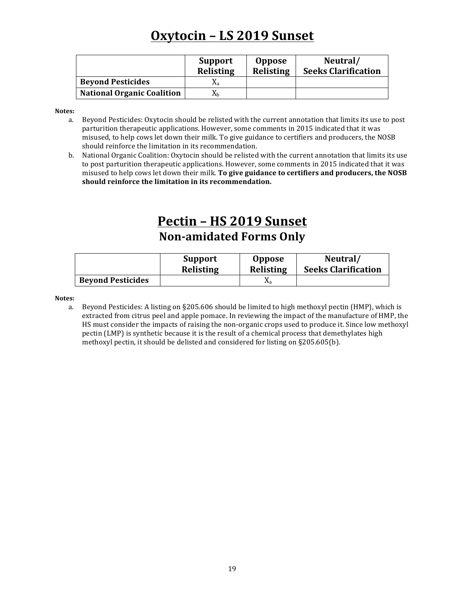# **Oxytocin – LS 2019 Sunset**

|                                   | <b>Support</b><br><b>Relisting</b> | <b>Oppose</b><br><b>Relisting</b> | Neutral/<br><b>Seeks Clarification</b> |
|-----------------------------------|------------------------------------|-----------------------------------|----------------------------------------|
| <b>Beyond Pesticides</b>          | Λа                                 |                                   |                                        |
| <b>National Organic Coalition</b> | Ăђ                                 |                                   |                                        |

**Notes:**

- a. Beyond Pesticides: Oxytocin should be relisted with the current annotation that limits its use to post parturition therapeutic applications. However, some comments in 2015 indicated that it was misused, to help cows let down their milk. To give guidance to certifiers and producers, the NOSB should reinforce the limitation in its recommendation.
- b. National Organic Coalition: Oxytocin should be relisted with the current annotation that limits its use to post parturition therapeutic applications. However, some comments in 2015 indicated that it was misused to help cows let down their milk. **To give guidance to certifiers and producers, the NOSB** should reinforce the limitation in its recommendation.

### **Pectin – HS 2019 Sunset Non-amidated Forms Only**

|                          | <b>Support</b>   | <b>Oppose</b>    | Neutral/                   |
|--------------------------|------------------|------------------|----------------------------|
|                          | <b>Relisting</b> | <b>Relisting</b> | <b>Seeks Clarification</b> |
| <b>Beyond Pesticides</b> |                  | Λа               |                            |

**Notes:**

a. Beyond Pesticides: A listing on §205.606 should be limited to high methoxyl pectin (HMP), which is extracted from citrus peel and apple pomace. In reviewing the impact of the manufacture of HMP, the HS must consider the impacts of raising the non-organic crops used to produce it. Since low methoxyl pectin (LMP) is synthetic because it is the result of a chemical process that demethylates high methoxyl pectin, it should be delisted and considered for listing on §205.605(b).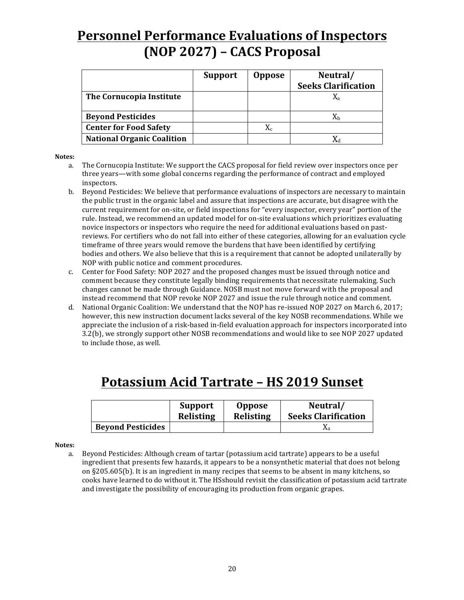# **Personnel Performance Evaluations of Inspectors (NOP 2027) – CACS Proposal**

|                                   | <b>Support</b> | <b>Oppose</b> | Neutral/                   |
|-----------------------------------|----------------|---------------|----------------------------|
|                                   |                |               | <b>Seeks Clarification</b> |
| The Cornucopia Institute          |                |               |                            |
|                                   |                |               |                            |
| <b>Beyond Pesticides</b>          |                |               | Хh                         |
| <b>Center for Food Safety</b>     |                | $X_c$         |                            |
| <b>National Organic Coalition</b> |                |               |                            |

#### **Notes:**

- a. The Cornucopia Institute: We support the CACS proposal for field review over inspectors once per three years—with some global concerns regarding the performance of contract and employed inspectors.
- b. Beyond Pesticides: We believe that performance evaluations of inspectors are necessary to maintain the public trust in the organic label and assure that inspections are accurate, but disagree with the current requirement for on-site, or field inspections for "every inspector, every year" portion of the rule. Instead, we recommend an updated model for on-site evaluations which prioritizes evaluating novice inspectors or inspectors who require the need for additional evaluations based on pastreviews. For certifiers who do not fall into either of these categories, allowing for an evaluation cycle timeframe of three years would remove the burdens that have been identified by certifying bodies and others. We also believe that this is a requirement that cannot be adopted unilaterally by NOP with public notice and comment procedures.
- c. Center for Food Safety: NOP 2027 and the proposed changes must be issued through notice and comment because they constitute legally binding requirements that necessitate rulemaking. Such changes cannot be made through Guidance. NOSB must not move forward with the proposal and instead recommend that NOP revoke NOP 2027 and issue the rule through notice and comment.
- d. National Organic Coalition: We understand that the NOP has re-issued NOP 2027 on March 6, 2017; however, this new instruction document lacks several of the key NOSB recommendations. While we appreciate the inclusion of a risk-based in-field evaluation approach for inspectors incorporated into 3.2(b), we strongly support other NOSB recommendations and would like to see NOP 2027 updated to include those, as well.

## **Potassium Acid Tartrate – HS 2019 Sunset**

|                          | <b>Support</b> | <b>Oppose</b>    | Neutral/                   |
|--------------------------|----------------|------------------|----------------------------|
|                          | Relisting      | <b>Relisting</b> | <b>Seeks Clarification</b> |
| <b>Beyond Pesticides</b> |                |                  | Λa                         |

#### **Notes:**

a. Beyond Pesticides: Although cream of tartar (potassium acid tartrate) appears to be a useful ingredient that presents few hazards, it appears to be a nonsynthetic material that does not belong on §205.605(b). It is an ingredient in many recipes that seems to be absent in many kitchens, so cooks have learned to do without it. The HSshould revisit the classification of potassium acid tartrate and investigate the possibility of encouraging its production from organic grapes.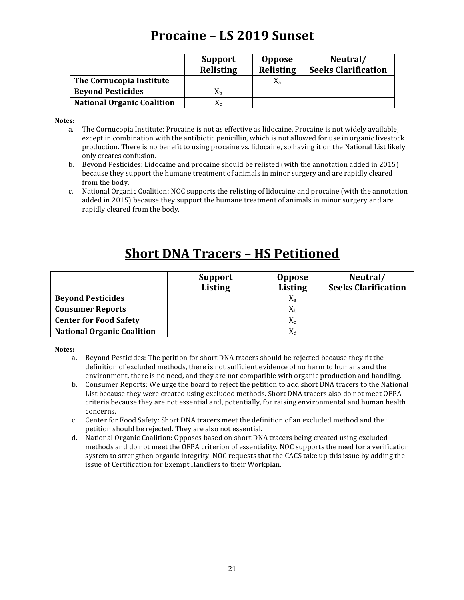### **Procaine – LS 2019 Sunset**

|                                   | <b>Support</b><br><b>Relisting</b> | <b>Oppose</b><br><b>Relisting</b> | Neutral/<br><b>Seeks Clarification</b> |
|-----------------------------------|------------------------------------|-----------------------------------|----------------------------------------|
| The Cornucopia Institute          |                                    | X <sub>a</sub>                    |                                        |
| <b>Beyond Pesticides</b>          | $\rm X_h$                          |                                   |                                        |
| <b>National Organic Coalition</b> | $\rm X_c$                          |                                   |                                        |

**Notes:**

- a. The Cornucopia Institute: Procaine is not as effective as lidocaine. Procaine is not widely available, except in combination with the antibiotic penicillin, which is not allowed for use in organic livestock production. There is no benefit to using procaine vs. lidocaine, so having it on the National List likely only creates confusion.
- b. Beyond Pesticides: Lidocaine and procaine should be relisted (with the annotation added in 2015) because they support the humane treatment of animals in minor surgery and are rapidly cleared from the body.
- c. National Organic Coalition: NOC supports the relisting of lidocaine and procaine (with the annotation added in 2015) because they support the humane treatment of animals in minor surgery and are rapidly cleared from the body.

# **Short DNA Tracers - HS Petitioned**

|                                   | <b>Support</b> | <b>Oppose</b>  | Neutral/                   |
|-----------------------------------|----------------|----------------|----------------------------|
|                                   | <b>Listing</b> | <b>Listing</b> | <b>Seeks Clarification</b> |
| <b>Beyond Pesticides</b>          |                | $X_{a}$        |                            |
| <b>Consumer Reports</b>           |                | $X_{b}$        |                            |
| <b>Center for Food Safety</b>     |                | $X_c$          |                            |
| <b>National Organic Coalition</b> |                | $X_d$          |                            |

- a. Beyond Pesticides: The petition for short DNA tracers should be rejected because they fit the definition of excluded methods, there is not sufficient evidence of no harm to humans and the environment, there is no need, and they are not compatible with organic production and handling.
- b. Consumer Reports: We urge the board to reject the petition to add short DNA tracers to the National List because they were created using excluded methods. Short DNA tracers also do not meet OFPA criteria because they are not essential and, potentially, for raising environmental and human health concerns.
- c. Center for Food Safety: Short DNA tracers meet the definition of an excluded method and the petition should be rejected. They are also not essential.
- d. National Organic Coalition: Opposes based on short DNA tracers being created using excluded methods and do not meet the OFPA criterion of essentiality. NOC supports the need for a verification system to strengthen organic integrity. NOC requests that the CACS take up this issue by adding the issue of Certification for Exempt Handlers to their Workplan.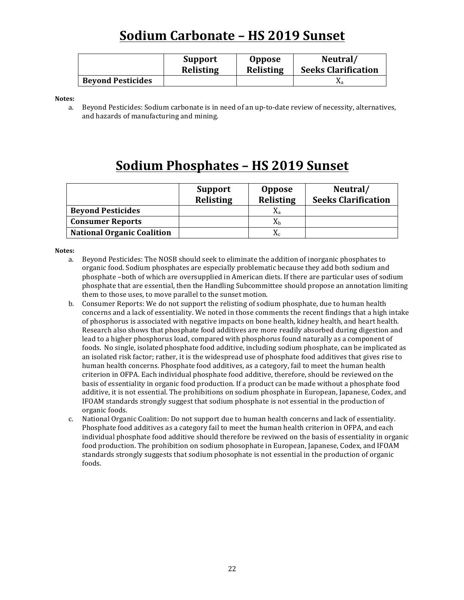# **Sodium Carbonate – HS 2019 Sunset**

|                          | <b>Support</b>   | <b>Oppose</b>    | Neutral/                   |
|--------------------------|------------------|------------------|----------------------------|
|                          | <b>Relisting</b> | <b>Relisting</b> | <b>Seeks Clarification</b> |
| <b>Beyond Pesticides</b> |                  |                  | Λа                         |

**Notes:**

a. Beyond Pesticides: Sodium carbonate is in need of an up-to-date review of necessity, alternatives, and hazards of manufacturing and mining.

# **Sodium Phosphates – HS 2019 Sunset**

|                                   | <b>Support</b><br><b>Relisting</b> | <b>Oppose</b><br>Relisting | Neutral/<br><b>Seeks Clarification</b> |
|-----------------------------------|------------------------------------|----------------------------|----------------------------------------|
| <b>Beyond Pesticides</b>          |                                    | X,                         |                                        |
| <b>Consumer Reports</b>           |                                    | $\rm X_h$                  |                                        |
| <b>National Organic Coalition</b> |                                    | $\rm X_c$                  |                                        |

- a. Beyond Pesticides: The NOSB should seek to eliminate the addition of inorganic phosphates to organic food. Sodium phosphates are especially problematic because they add both sodium and phosphate -both of which are oversupplied in American diets. If there are particular uses of sodium phosphate that are essential, then the Handling Subcommittee should propose an annotation limiting them to those uses, to move parallel to the sunset motion.
- b. Consumer Reports: We do not support the relisting of sodium phosphate, due to human health concerns and a lack of essentiality. We noted in those comments the recent findings that a high intake of phosphorus is associated with negative impacts on bone health, kidney health, and heart health. Research also shows that phosphate food additives are more readily absorbed during digestion and lead to a higher phosphorus load, compared with phosphorus found naturally as a component of foods. No single, isolated phosphate food additive, including sodium phosphate, can be implicated as an isolated risk factor; rather, it is the widespread use of phosphate food additives that gives rise to human health concerns. Phosphate food additives, as a category, fail to meet the human health criterion in OFPA. Each individual phosphate food additive, therefore, should be reviewed on the basis of essentiality in organic food production. If a product can be made without a phosphate food additive, it is not essential. The prohibitions on sodium phosphate in European, Japanese, Codex, and IFOAM standards strongly suggest that sodium phosphate is not essential in the production of organic foods.
- c. National Organic Coalition: Do not support due to human health concerns and lack of essentiality. Phosphate food additives as a category fail to meet the human health criterion in OFPA, and each individual phosphate food additive should therefore be reviwed on the basis of essentiality in organic food production. The prohibition on sodium phosophate in European, Japanese, Codex, and IFOAM standards strongly suggests that sodium phosophate is not essential in the production of organic foods.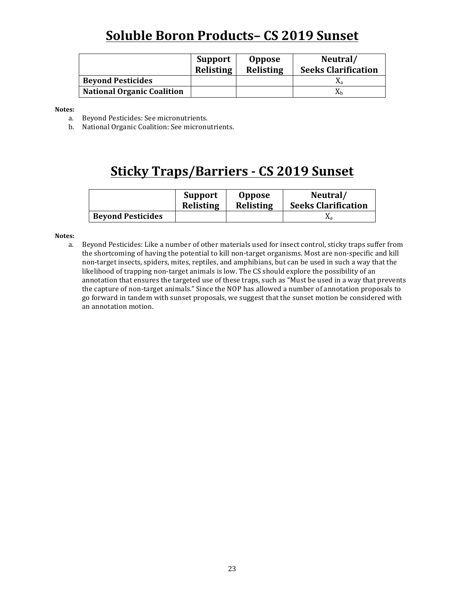# **Soluble Boron Products– CS 2019 Sunset**

|                                   | Support<br>Relisting | <b>Oppose</b><br>Relisting | Neutral/<br><b>Seeks Clarification</b> |
|-----------------------------------|----------------------|----------------------------|----------------------------------------|
| <b>Beyond Pesticides</b>          |                      |                            |                                        |
| <b>National Organic Coalition</b> |                      |                            | Хh                                     |

**Notes:**

- a. Beyond Pesticides: See micronutrients.
- b. National Organic Coalition: See micronutrients.

### **Sticky Traps/Barriers - CS 2019 Sunset**

|                          | Support   | <b>Oppose</b>    | Neutral/                   |
|--------------------------|-----------|------------------|----------------------------|
|                          | Relisting | <b>Relisting</b> | <b>Seeks Clarification</b> |
| <b>Beyond Pesticides</b> |           |                  |                            |

#### **Notes:**

a. Beyond Pesticides: Like a number of other materials used for insect control, sticky traps suffer from the shortcoming of having the potential to kill non-target organisms. Most are non-specific and kill non-target insects, spiders, mites, reptiles, and amphibians, but can be used in such a way that the likelihood of trapping non-target animals is low. The CS should explore the possibility of an annotation that ensures the targeted use of these traps, such as "Must be used in a way that prevents the capture of non-target animals." Since the NOP has allowed a number of annotation proposals to go forward in tandem with sunset proposals, we suggest that the sunset motion be considered with an annotation motion.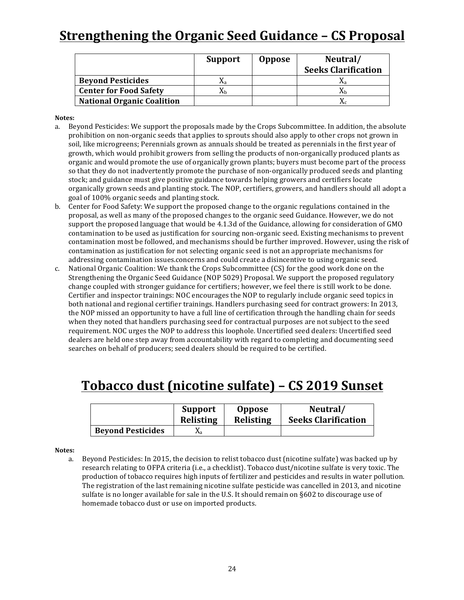# **<u>Strengthening the Organic Seed Guidance - CS Proposal</u>**

|                                   | <b>Support</b> | <b>Oppose</b> | Neutral/<br><b>Seeks Clarification</b> |
|-----------------------------------|----------------|---------------|----------------------------------------|
| <b>Beyond Pesticides</b>          | Λэ             |               |                                        |
| <b>Center for Food Safety</b>     | Лh             |               | Λh                                     |
| <b>National Organic Coalition</b> |                |               |                                        |

#### **Notes:**

- a. Beyond Pesticides: We support the proposals made by the Crops Subcommittee. In addition, the absolute prohibition on non-organic seeds that applies to sprouts should also apply to other crops not grown in soil, like microgreens; Perennials grown as annuals should be treated as perennials in the first year of growth, which would prohibit growers from selling the products of non-organically produced plants as organic and would promote the use of organically grown plants; buyers must become part of the process so that they do not inadvertently promote the purchase of non-organically produced seeds and planting stock; and guidance must give positive guidance towards helping growers and certifiers locate organically grown seeds and planting stock. The NOP, certifiers, growers, and handlers should all adopt a goal of 100% organic seeds and planting stock.
- b. Center for Food Safety: We support the proposed change to the organic regulations contained in the proposal, as well as many of the proposed changes to the organic seed Guidance. However, we do not support the proposed language that would be 4.1.3d of the Guidance, allowing for consideration of GMO contamination to be used as justification for sourcing non-organic seed. Existing mechanisms to prevent contamination most be followed, and mechanisms should be further improved. However, using the risk of contamination as justification for not selecting organic seed is not an appropriate mechanisms for addressing contamination issues.concerns and could create a disincentive to using organic seed.
- c. National Organic Coalition: We thank the Crops Subcommittee (CS) for the good work done on the Strengthening the Organic Seed Guidance (NOP 5029) Proposal. We support the proposed regulatory change coupled with stronger guidance for certifiers; however, we feel there is still work to be done. Certifier and inspector trainings: NOC encourages the NOP to regularly include organic seed topics in both national and regional certifier trainings. Handlers purchasing seed for contract growers: In 2013, the NOP missed an opportunity to have a full line of certification through the handling chain for seeds when they noted that handlers purchasing seed for contractual purposes are not subject to the seed requirement. NOC urges the NOP to address this loophole. Uncertified seed dealers: Uncertified seed dealers are held one step away from accountability with regard to completing and documenting seed searches on behalf of producers; seed dealers should be required to be certified.

## **Tobacco dust (nicotine sulfate) – CS 2019 Sunset**

|                          | <b>Support</b> | <b>Oppose</b>    | Neutral/                   |
|--------------------------|----------------|------------------|----------------------------|
|                          | Relisting      | <b>Relisting</b> | <b>Seeks Clarification</b> |
| <b>Beyond Pesticides</b> | Λа             |                  |                            |

#### **Notes:**

a. Beyond Pesticides: In 2015, the decision to relist tobacco dust (nicotine sulfate) was backed up by research relating to OFPA criteria (i.e., a checklist). Tobacco dust/nicotine sulfate is very toxic. The production of tobacco requires high inputs of fertilizer and pesticides and results in water pollution. The registration of the last remaining nicotine sulfate pesticide was cancelled in 2013, and nicotine sulfate is no longer available for sale in the U.S. It should remain on  $§602$  to discourage use of homemade tobacco dust or use on imported products.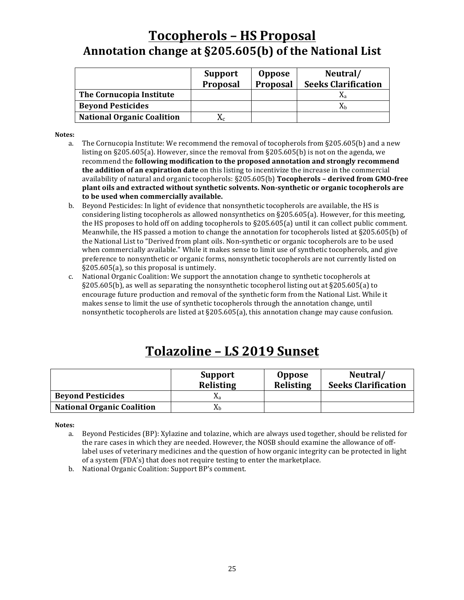# **Tocopherols – HS Proposal** Annotation change at §205.605(b) of the National List

|                                   | <b>Support</b><br>Proposal | <b>Oppose</b><br>Proposal | Neutral/<br><b>Seeks Clarification</b> |
|-----------------------------------|----------------------------|---------------------------|----------------------------------------|
| The Cornucopia Institute          |                            |                           | Λа                                     |
| <b>Beyond Pesticides</b>          |                            |                           | Хh                                     |
| <b>National Organic Coalition</b> |                            |                           |                                        |

**Notes:**

- a. The Cornucopia Institute: We recommend the removal of tocopherols from  $\S 205.605(b)$  and a new listing on §205.605(a). However, since the removal from §205.605(b) is not on the agenda, we recommend the **following modification to the proposed annotation and strongly recommend the addition of an expiration date** on this listing to incentivize the increase in the commercial availability of natural and organic tocopherols: §205.605(b) **Tocopherols - derived from GMO-free** plant oils and extracted without synthetic solvents. Non-synthetic or organic tocopherols are to be used when commercially available.
- b. Beyond Pesticides: In light of evidence that nonsynthetic tocopherols are available, the HS is considering listing tocopherols as allowed nonsynthetics on  $\S205.605(a)$ . However, for this meeting, the HS proposes to hold off on adding tocopherols to  $\S205.605(a)$  until it can collect public comment. Meanwhile, the HS passed a motion to change the annotation for tocopherols listed at  $\S205.605(b)$  of the National List to "Derived from plant oils. Non-synthetic or organic tocopherols are to be used when commercially available." While it makes sense to limit use of synthetic tocopherols, and give preference to nonsynthetic or organic forms, nonsynthetic tocopherols are not currently listed on  $§205.605(a)$ , so this proposal is untimely.
- c. National Organic Coalition: We support the annotation change to synthetic tocopherols at  $\S205.605(b)$ , as well as separating the nonsynthetic tocopherol listing out at  $\S205.605(a)$  to encourage future production and removal of the synthetic form from the National List. While it makes sense to limit the use of synthetic tocopherols through the annotation change, until nonsynthetic tocopherols are listed at  $\S205.605(a)$ , this annotation change may cause confusion.

# **Tolazoline – LS 2019 Sunset**

|                                   | <b>Support</b><br>Relisting | <b>Oppose</b><br>Relisting | Neutral/<br><b>Seeks Clarification</b> |
|-----------------------------------|-----------------------------|----------------------------|----------------------------------------|
| <b>Beyond Pesticides</b>          | Λа                          |                            |                                        |
| <b>National Organic Coalition</b> | Хh                          |                            |                                        |

**Notes:**

a. Beyond Pesticides (BP): Xylazine and tolazine, which are always used together, should be relisted for the rare cases in which they are needed. However, the NOSB should examine the allowance of offlabel uses of veterinary medicines and the question of how organic integrity can be protected in light of a system (FDA's) that does not require testing to enter the marketplace.

b. National Organic Coalition: Support BP's comment.